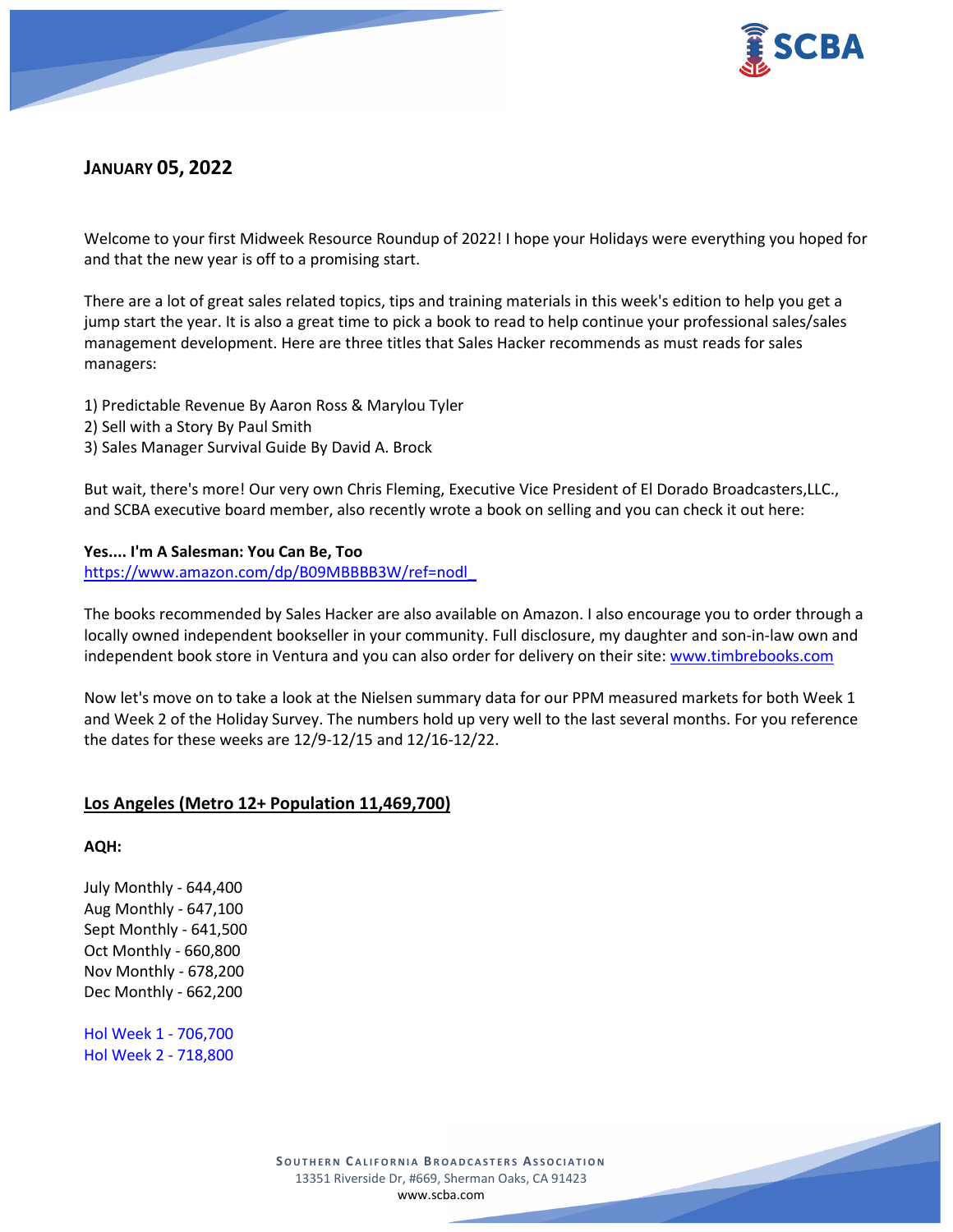

# **JANUARY 05, 2022**

Welcome to your first Midweek Resource Roundup of 2022! I hope your Holidays were everything you hoped for and that the new year is off to a promising start.

There are a lot of great sales related topics, tips and training materials in this week's edition to help you get a jump start the year. It is also a great time to pick a book to read to help continue your professional sales/sales management development. Here are three titles that Sales Hacker recommends as must reads for sales managers:

- 1) Predictable Revenue By Aaron Ross & Marylou Tyler
- 2) Sell with a Story By Paul Smith
- 3) Sales Manager Survival Guide By David A. Brock

But wait, there's more! Our very own Chris Fleming, Executive Vice President of El Dorado Broadcasters,LLC., and SCBA executive board member, also recently wrote a book on selling and you can check it out here:

### **Yes.... I'm A Salesman: You Can Be, Too**

[https://www.amazon.com/dp/B09MBBBB3W/ref=nodl\\_](https://www.amazon.com/dp/B09MBBBB3W/ref=nodl_)

The books recommended by Sales Hacker are also available on Amazon. I also encourage you to order through a locally owned independent bookseller in your community. Full disclosure, my daughter and son-in-law own and independent book store in Ventura and you can also order for delivery on their site[: www.timbrebooks.com](http://www.timbrebooks.com/)

Now let's move on to take a look at the Nielsen summary data for our PPM measured markets for both Week 1 and Week 2 of the Holiday Survey. The numbers hold up very well to the last several months. For you reference the dates for these weeks are 12/9-12/15 and 12/16-12/22.

## **Los Angeles (Metro 12+ Population 11,469,700)**

**AQH:**

July Monthly - 644,400 Aug Monthly - 647,100 Sept Monthly - 641,500 Oct Monthly - 660,800 Nov Monthly - 678,200 Dec Monthly - 662,200

Hol Week 1 - 706,700 Hol Week 2 - 718,800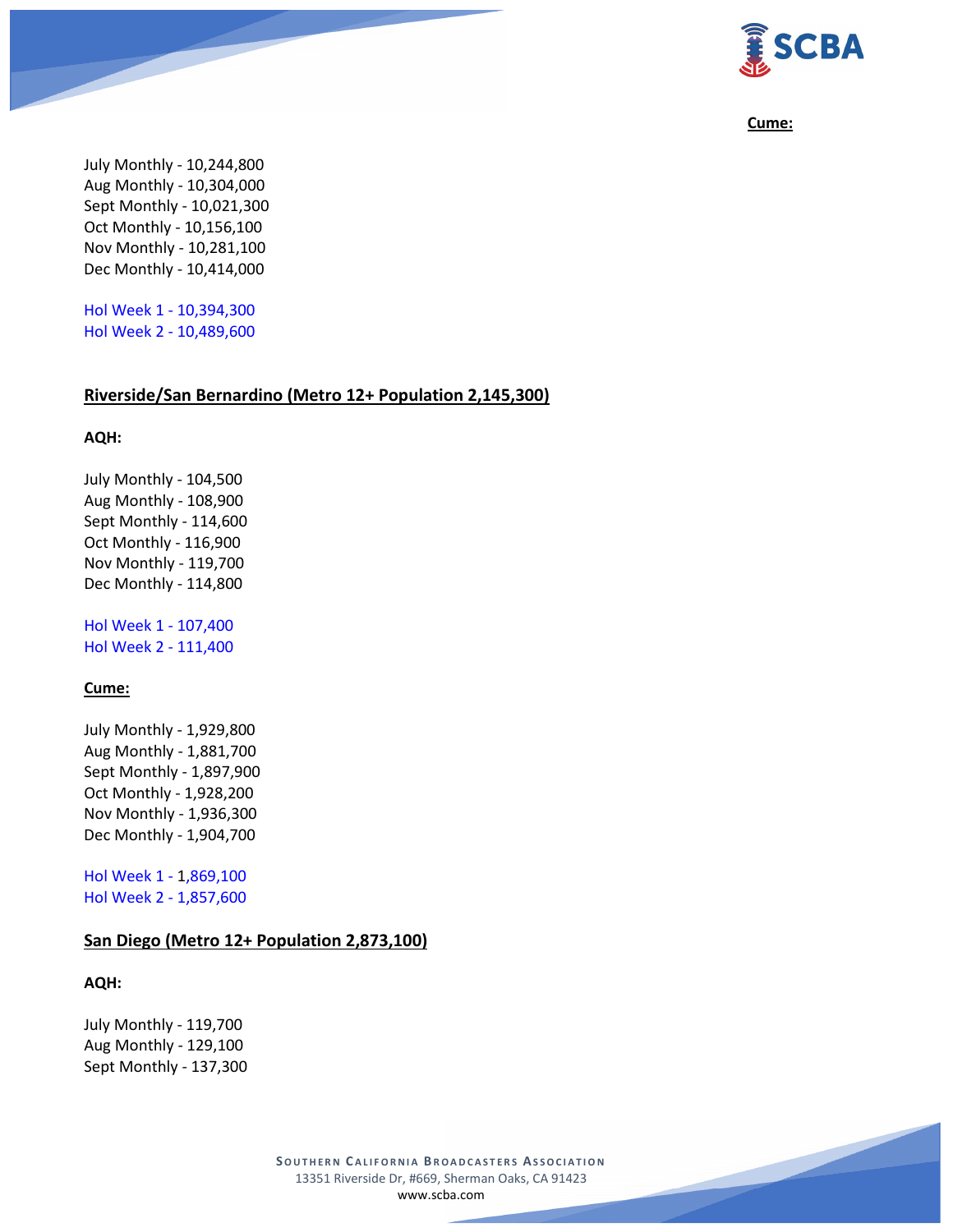

#### **Cume:**

July Monthly - 10,244,800 Aug Monthly - 10,304,000 Sept Monthly - 10,021,300 Oct Monthly - 10,156,100 Nov Monthly - 10,281,100 Dec Monthly - 10,414,000

Hol Week 1 - 10,394,300 Hol Week 2 - 10,489,600

#### **Riverside/San Bernardino (Metro 12+ Population 2,145,300)**

### **AQH:**

July Monthly - 104,500 Aug Monthly - 108,900 Sept Monthly - 114,600 Oct Monthly - 116,900 Nov Monthly - 119,700 Dec Monthly - 114,800

Hol Week 1 - 107,400 Hol Week 2 - 111,400

#### **Cume:**

July Monthly - 1,929,800 Aug Monthly - 1,881,700 Sept Monthly - 1,897,900 Oct Monthly - 1,928,200 Nov Monthly - 1,936,300 Dec Monthly - 1,904,700

Hol Week 1 - 1,869,100 Hol Week 2 - 1,857,600

## **San Diego (Metro 12+ Population 2,873,100)**

#### **AQH:**

July Monthly - 119,700 Aug Monthly - 129,100 Sept Monthly - 137,300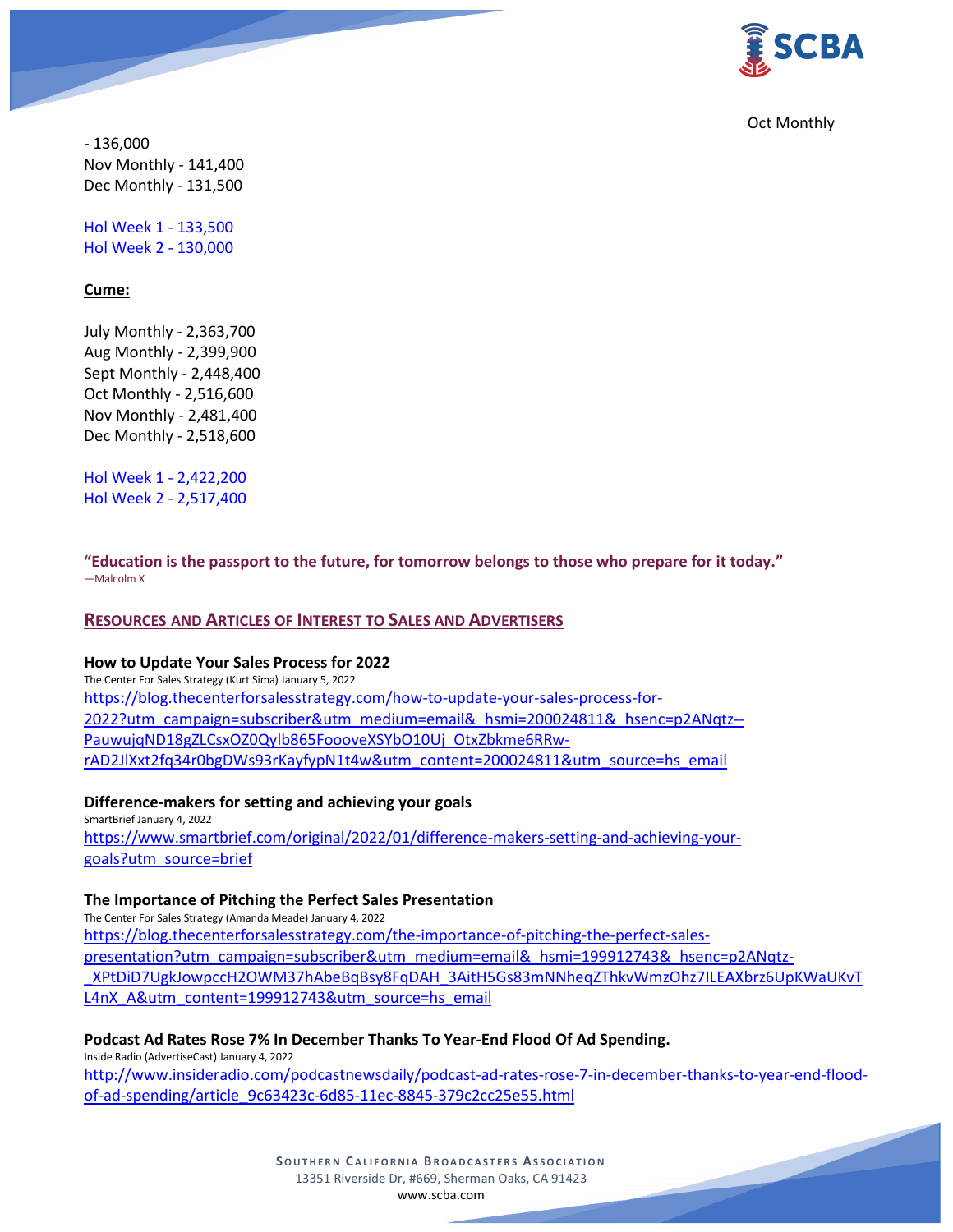

Oct Monthly

- 136,000 Nov Monthly - 141,400 Dec Monthly - 131,500

Hol Week 1 - 133,500 Hol Week 2 - 130,000

### **Cume:**

July Monthly - 2,363,700 Aug Monthly - 2,399,900 Sept Monthly - 2,448,400 Oct Monthly - 2,516,600 Nov Monthly - 2,481,400 Dec Monthly - 2,518,600

Hol Week 1 - 2,422,200 Hol Week 2 - 2,517,400

**"Education is the passport to the future, for tomorrow belongs to those who prepare for it today."** ―Malcolm X

### **RESOURCES AND ARTICLES OF INTEREST TO SALES AND ADVERTISERS**

#### **How to Update Your Sales Process for 2022**

The Center For Sales Strategy (Kurt Sima) January 5, 2022 [https://blog.thecenterforsalesstrategy.com/how-to-update-your-sales-process-for-](https://blog.thecenterforsalesstrategy.com/how-to-update-your-sales-process-for-2022?utm_campaign=subscriber&utm_medium=email&_hsmi=200024811&_hsenc=p2ANqtz--PauwujqND18gZLCsxOZ0Qylb865FoooveXSYbO10Uj_OtxZbkme6RRw-rAD2JlXxt2fq34r0bgDWs93rKayfypN1t4w&utm_content=200024811&utm_source=hs_email)[2022?utm\\_campaign=subscriber&utm\\_medium=email&\\_hsmi=200024811&\\_hsenc=p2ANqtz--](https://blog.thecenterforsalesstrategy.com/how-to-update-your-sales-process-for-2022?utm_campaign=subscriber&utm_medium=email&_hsmi=200024811&_hsenc=p2ANqtz--PauwujqND18gZLCsxOZ0Qylb865FoooveXSYbO10Uj_OtxZbkme6RRw-rAD2JlXxt2fq34r0bgDWs93rKayfypN1t4w&utm_content=200024811&utm_source=hs_email) [PauwujqND18gZLCsxOZ0Qylb865FoooveXSY](https://blog.thecenterforsalesstrategy.com/how-to-update-your-sales-process-for-2022?utm_campaign=subscriber&utm_medium=email&_hsmi=200024811&_hsenc=p2ANqtz--PauwujqND18gZLCsxOZ0Qylb865FoooveXSYbO10Uj_OtxZbkme6RRw-rAD2JlXxt2fq34r0bgDWs93rKayfypN1t4w&utm_content=200024811&utm_source=hs_email)bO10Uj\_OtxZbkme6RRw[rAD2JlXxt2fq34r0bgDWs93rKayfypN1t4w&utm\\_content=200024811&utm\\_source=hs\\_email](https://blog.thecenterforsalesstrategy.com/how-to-update-your-sales-process-for-2022?utm_campaign=subscriber&utm_medium=email&_hsmi=200024811&_hsenc=p2ANqtz--PauwujqND18gZLCsxOZ0Qylb865FoooveXSYbO10Uj_OtxZbkme6RRw-rAD2JlXxt2fq34r0bgDWs93rKayfypN1t4w&utm_content=200024811&utm_source=hs_email)

**Difference-makers for setting and achieving your goals** SmartBrief January 4, 2022

[https://www.smartbrief.com/original/2022/01/difference-makers-setting-and-achieving-your](https://www.smartbrief.com/original/2022/01/difference-makers-setting-and-achieving-your-goals?utm_source=brief)[goals?utm\\_source=brief](https://www.smartbrief.com/original/2022/01/difference-makers-setting-and-achieving-your-goals?utm_source=brief)

#### **The Importance of Pitching the Perfect Sales Presentation**

The Center For Sales Strategy (Amanda Meade) January 4, 2022

[https://blog.thecenterforsalesstrategy.com/the-importance-of-pitching-the-perfect-sales](https://blog.thecenterforsalesstrategy.com/the-importance-of-pitching-the-perfect-sales-presentation?utm_campaign=subscriber&utm_medium=email&_hsmi=199912743&_hsenc=p2ANqtz-_XPtDiD7UgkJowpccH2OWM37hAbeBqBsy8FqDAH_3AitH5Gs83mNNheqZThkvWmzOhz7ILEAXbrz6UpKWaUKvTL4nX_A&utm_content=199912743&utm_source=hs_email)[presentation?utm\\_campaign=subscriber&utm\\_medium=email&\\_hsmi=199912743&\\_hsenc=p2ANqtz-](https://blog.thecenterforsalesstrategy.com/the-importance-of-pitching-the-perfect-sales-presentation?utm_campaign=subscriber&utm_medium=email&_hsmi=199912743&_hsenc=p2ANqtz-_XPtDiD7UgkJowpccH2OWM37hAbeBqBsy8FqDAH_3AitH5Gs83mNNheqZThkvWmzOhz7ILEAXbrz6UpKWaUKvTL4nX_A&utm_content=199912743&utm_source=hs_email) [\\_XPtDiD7UgkJowpccH2OWM37hAbeBqBsy8FqDAH\\_3AitH5Gs83mNNheqZThkvWmzOhz7ILEAXbrz6UpKWaUKvT](https://blog.thecenterforsalesstrategy.com/the-importance-of-pitching-the-perfect-sales-presentation?utm_campaign=subscriber&utm_medium=email&_hsmi=199912743&_hsenc=p2ANqtz-_XPtDiD7UgkJowpccH2OWM37hAbeBqBsy8FqDAH_3AitH5Gs83mNNheqZThkvWmzOhz7ILEAXbrz6UpKWaUKvTL4nX_A&utm_content=199912743&utm_source=hs_email) L4nX A&utm\_content=199912743&utm\_source=hs\_email

### **Podcast Ad Rates Rose 7% In December Thanks To Year-End Flood Of Ad Spending.**

Inside Radio (AdvertiseCast) January 4, 2022

[http://www.insideradio.com/podcastnewsdaily/podcast-ad-rates-rose-7-in-december-thanks-to-year-end-flood](http://www.insideradio.com/podcastnewsdaily/podcast-ad-rates-rose-7-in-december-thanks-to-year-end-flood-of-ad-spending/article_9c63423c-6d85-11ec-8845-379c2cc25e55.html)[of-ad-spending/article\\_9c63423c-6d85-11ec-8845-379c2cc25e55.html](http://www.insideradio.com/podcastnewsdaily/podcast-ad-rates-rose-7-in-december-thanks-to-year-end-flood-of-ad-spending/article_9c63423c-6d85-11ec-8845-379c2cc25e55.html)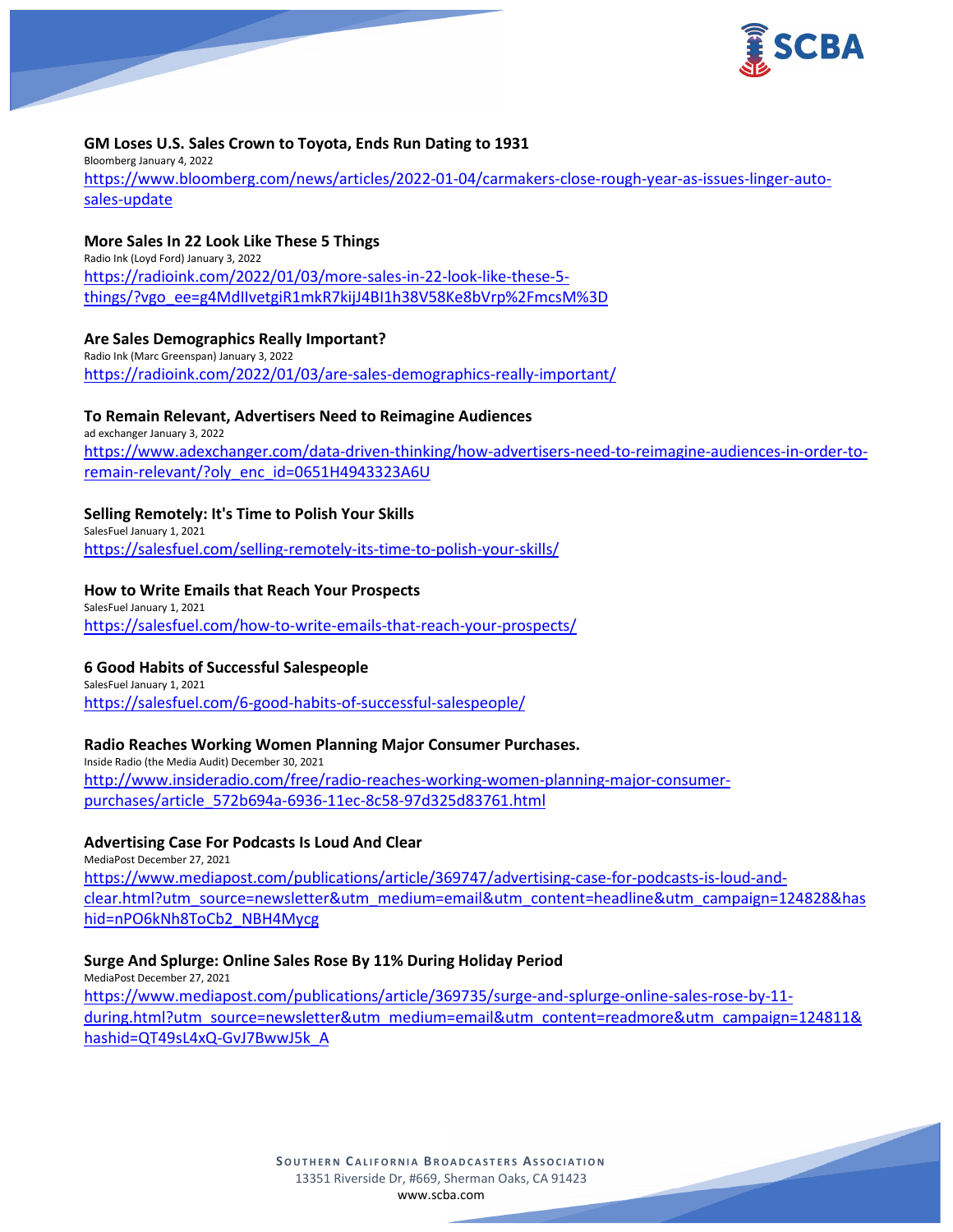

### **GM Loses U.S. Sales Crown to Toyota, Ends Run Dating to 1931**

Bloomberg January 4, 2022 [https://www.bloomberg.com/news/articles/2022-01-04/carmakers-close-rough-year-as-issues-linger-auto](https://www.bloomberg.com/news/articles/2022-01-04/carmakers-close-rough-year-as-issues-linger-auto-sales-update)[sales-update](https://www.bloomberg.com/news/articles/2022-01-04/carmakers-close-rough-year-as-issues-linger-auto-sales-update)

### **More Sales In 22 Look Like These 5 Things**

Radio Ink (Loyd Ford) January 3, 2022 [https://radioink.com/2022/01/03/more-sales-in-22-look-like-these-5](https://radioink.com/2022/01/03/more-sales-in-22-look-like-these-5-things/?vgo_ee=g4MdIIvetgiR1mkR7kijJ4BI1h38V58Ke8bVrp%2FmcsM%3D) [things/?vgo\\_ee=g4MdIIvetgiR1mkR7kijJ4BI1h38V58Ke8bVrp%2FmcsM%3D](https://radioink.com/2022/01/03/more-sales-in-22-look-like-these-5-things/?vgo_ee=g4MdIIvetgiR1mkR7kijJ4BI1h38V58Ke8bVrp%2FmcsM%3D)

#### **Are Sales Demographics Really Important?**

Radio Ink (Marc Greenspan) January 3, 2022 <https://radioink.com/2022/01/03/are-sales-demographics-really-important/>

### **To Remain Relevant, Advertisers Need to Reimagine Audiences**

ad exchanger January 3, 2022 [https://www.adexchanger.com/data-driven-thinking/how-advertisers-need-to-reimagine-audiences-in-order-to](https://www.adexchanger.com/data-driven-thinking/how-advertisers-need-to-reimagine-audiences-in-order-to-remain-relevant/?oly_enc_id=0651H4943323A6U)[remain-relevant/?oly\\_enc\\_id=0651H4943323A6U](https://www.adexchanger.com/data-driven-thinking/how-advertisers-need-to-reimagine-audiences-in-order-to-remain-relevant/?oly_enc_id=0651H4943323A6U)

#### **Selling Remotely: It's Time to Polish Your Skills**

SalesFuel January 1, 2021 <https://salesfuel.com/selling-remotely-its-time-to-polish-your-skills/>

#### **How to Write Emails that Reach Your Prospects**

SalesFuel January 1, 2021 <https://salesfuel.com/how-to-write-emails-that-reach-your-prospects/>

#### **6 Good Habits of Successful Salespeople**

SalesFuel January 1, 2021 <https://salesfuel.com/6-good-habits-of-successful-salespeople/>

#### **Radio Reaches Working Women Planning Major Consumer Purchases.**

Inside Radio (the Media Audit) December 30, 2021 [http://www.insideradio.com/free/radio-reaches-working-women-planning-major-consumer](http://www.insideradio.com/free/radio-reaches-working-women-planning-major-consumer-purchases/article_572b694a-6936-11ec-8c58-97d325d83761.html)[purchases/article\\_572b694a-6936-11ec-8c58-97d325d83761.html](http://www.insideradio.com/free/radio-reaches-working-women-planning-major-consumer-purchases/article_572b694a-6936-11ec-8c58-97d325d83761.html)

## **Advertising Case For Podcasts Is Loud And Clear**

MediaPost December 27, 2021 [https://www.mediapost.com/publications/article/369747/advertising-case-for-podcasts-is-loud-and](https://www.mediapost.com/publications/article/369747/advertising-case-for-podcasts-is-loud-and-clear.html?utm_source=newsletter&utm_medium=email&utm_content=headline&utm_campaign=124828&hashid=nPO6kNh8ToCb2_NBH4Mycg)[clear.html?utm\\_source=newsletter&utm\\_medium=email&utm\\_content=headline&utm\\_campaign=124828&has](https://www.mediapost.com/publications/article/369747/advertising-case-for-podcasts-is-loud-and-clear.html?utm_source=newsletter&utm_medium=email&utm_content=headline&utm_campaign=124828&hashid=nPO6kNh8ToCb2_NBH4Mycg) [hid=nPO6kNh8ToCb2\\_NBH4Mycg](https://www.mediapost.com/publications/article/369747/advertising-case-for-podcasts-is-loud-and-clear.html?utm_source=newsletter&utm_medium=email&utm_content=headline&utm_campaign=124828&hashid=nPO6kNh8ToCb2_NBH4Mycg)

#### **Surge And Splurge: Online Sales Rose By 11% During Holiday Period**

MediaPost December 27, 2021 [https://www.mediapost.com/publications/article/369735/surge-and-splurge-online-sales-rose-by-11](https://www.mediapost.com/publications/article/369735/surge-and-splurge-online-sales-rose-by-11-during.html?utm_source=newsletter&utm_medium=email&utm_content=readmore&utm_campaign=124811&hashid=QT49sL4xQ-GvJ7BwwJ5k_A) [during.html?utm\\_source=newsletter&utm\\_medium=email&utm\\_content=readmore&utm\\_campaign=124811&](https://www.mediapost.com/publications/article/369735/surge-and-splurge-online-sales-rose-by-11-during.html?utm_source=newsletter&utm_medium=email&utm_content=readmore&utm_campaign=124811&hashid=QT49sL4xQ-GvJ7BwwJ5k_A) [hashid=QT49sL4xQ-GvJ7BwwJ5k\\_A](https://www.mediapost.com/publications/article/369735/surge-and-splurge-online-sales-rose-by-11-during.html?utm_source=newsletter&utm_medium=email&utm_content=readmore&utm_campaign=124811&hashid=QT49sL4xQ-GvJ7BwwJ5k_A)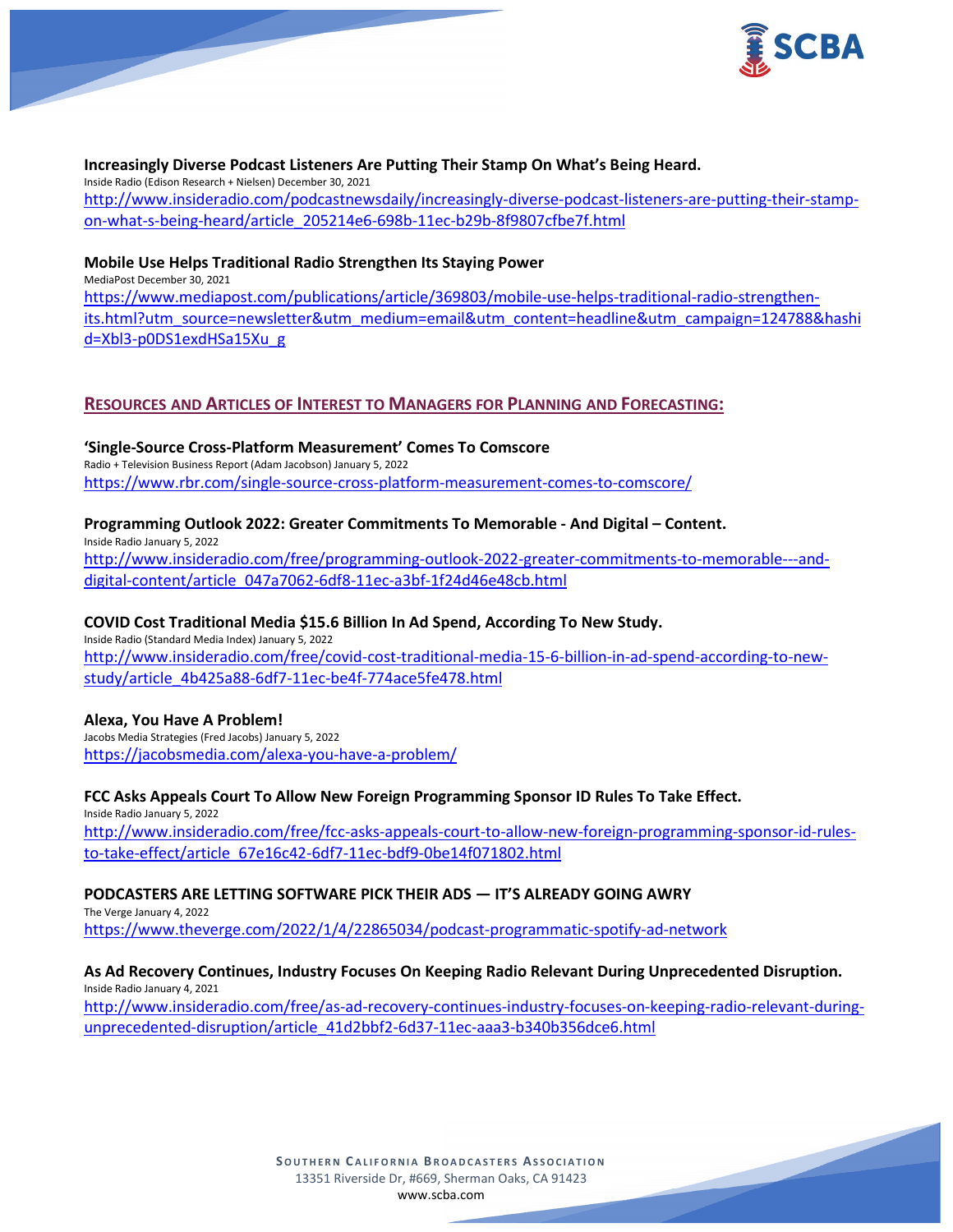

#### **Increasingly Diverse Podcast Listeners Are Putting Their Stamp On What's Being Heard.**

Inside Radio (Edison Research + Nielsen) December 30, 2021 [http://www.insideradio.com/podcastnewsdaily/increasingly-diverse-podcast-listeners-are-putting-their-stamp](http://www.insideradio.com/podcastnewsdaily/increasingly-diverse-podcast-listeners-are-putting-their-stamp-on-what-s-being-heard/article_205214e6-698b-11ec-b29b-8f9807cfbe7f.html)[on-what-s-being-heard/article\\_205214e6-698b-11ec-b29b-8f9807cfbe7f.html](http://www.insideradio.com/podcastnewsdaily/increasingly-diverse-podcast-listeners-are-putting-their-stamp-on-what-s-being-heard/article_205214e6-698b-11ec-b29b-8f9807cfbe7f.html)

### **Mobile Use Helps Traditional Radio Strengthen Its Staying Power**

MediaPost December 30, 2021

[https://www.mediapost.com/publications/article/369803/mobile-use-helps-traditional-radio-strengthen](https://www.mediapost.com/publications/article/369803/mobile-use-helps-traditional-radio-strengthen-its.html?utm_source=newsletter&utm_medium=email&utm_content=headline&utm_campaign=124788&hashid=Xbl3-p0DS1exdHSa15Xu_g)[its.html?utm\\_source=newsletter&utm\\_medium=email&utm\\_content=headline&utm\\_campaign=124788&hashi](https://www.mediapost.com/publications/article/369803/mobile-use-helps-traditional-radio-strengthen-its.html?utm_source=newsletter&utm_medium=email&utm_content=headline&utm_campaign=124788&hashid=Xbl3-p0DS1exdHSa15Xu_g) d=Xbl3-[p0DS1exdHSa15Xu\\_g](https://www.mediapost.com/publications/article/369803/mobile-use-helps-traditional-radio-strengthen-its.html?utm_source=newsletter&utm_medium=email&utm_content=headline&utm_campaign=124788&hashid=Xbl3-p0DS1exdHSa15Xu_g)

## **RESOURCES AND ARTICLES OF INTEREST TO MANAGERS FOR PLANNING AND FORECASTING:**

**'Single-Source Cross-Platform Measurement' Comes To Comscore** Radio + Television Business Report (Adam Jacobson) January 5, 2022 <https://www.rbr.com/single-source-cross-platform-measurement-comes-to-comscore/>

### **Programming Outlook 2022: Greater Commitments To Memorable - And Digital – Content.**

Inside Radio January 5, 2022 [http://www.insideradio.com/free/programming-outlook-2022-greater-commitments-to-memorable---and](http://www.insideradio.com/free/programming-outlook-2022-greater-commitments-to-memorable---and-digital-content/article_047a7062-6df8-11ec-a3bf-1f24d46e48cb.html)[digital-content/article\\_047a7062-6df8-11ec-a3bf-1f24d46e48cb.html](http://www.insideradio.com/free/programming-outlook-2022-greater-commitments-to-memorable---and-digital-content/article_047a7062-6df8-11ec-a3bf-1f24d46e48cb.html)

### **COVID Cost Traditional Media \$15.6 Billion In Ad Spend, According To New Study.**

Inside Radio (Standard Media Index) January 5, 2022 [http://www.insideradio.com/free/covid-cost-traditional-media-15-6-billion-in-ad-spend-according-to-new](http://www.insideradio.com/free/covid-cost-traditional-media-15-6-billion-in-ad-spend-according-to-new-study/article_4b425a88-6df7-11ec-be4f-774ace5fe478.html)[study/article\\_4b425a88-6df7-11ec-be4f-774ace5fe478.html](http://www.insideradio.com/free/covid-cost-traditional-media-15-6-billion-in-ad-spend-according-to-new-study/article_4b425a88-6df7-11ec-be4f-774ace5fe478.html)

#### **Alexa, You Have A Problem!**

Jacobs Media Strategies (Fred Jacobs) January 5, 2022 <https://jacobsmedia.com/alexa-you-have-a-problem/>

## **FCC Asks Appeals Court To Allow New Foreign Programming Sponsor ID Rules To Take Effect.**

Inside Radio January 5, 2022 [http://www.insideradio.com/free/fcc-asks-appeals-court-to-allow-new-foreign-programming-sponsor-id-rules](http://www.insideradio.com/free/fcc-asks-appeals-court-to-allow-new-foreign-programming-sponsor-id-rules-to-take-effect/article_67e16c42-6df7-11ec-bdf9-0be14f071802.html)[to-take-effect/article\\_67e16c42-6df7-11ec-bdf9-0be14f071802.html](http://www.insideradio.com/free/fcc-asks-appeals-court-to-allow-new-foreign-programming-sponsor-id-rules-to-take-effect/article_67e16c42-6df7-11ec-bdf9-0be14f071802.html)

## **PODCASTERS ARE LETTING SOFTWARE PICK THEIR ADS — IT'S ALREADY GOING AWRY**

The Verge January 4, 2022 <https://www.theverge.com/2022/1/4/22865034/podcast-programmatic-spotify-ad-network>

### **As Ad Recovery Continues, Industry Focuses On Keeping Radio Relevant During Unprecedented Disruption.** Inside Radio January 4, 2021

[http://www.insideradio.com/free/as-ad-recovery-continues-industry-focuses-on-keeping-radio-relevant-during](http://www.insideradio.com/free/as-ad-recovery-continues-industry-focuses-on-keeping-radio-relevant-during-unprecedented-disruption/article_41d2bbf2-6d37-11ec-aaa3-b340b356dce6.html)[unprecedented-disruption/article\\_41d2bbf2-6d37-11ec-aaa3-b340b356dce6.html](http://www.insideradio.com/free/as-ad-recovery-continues-industry-focuses-on-keeping-radio-relevant-during-unprecedented-disruption/article_41d2bbf2-6d37-11ec-aaa3-b340b356dce6.html)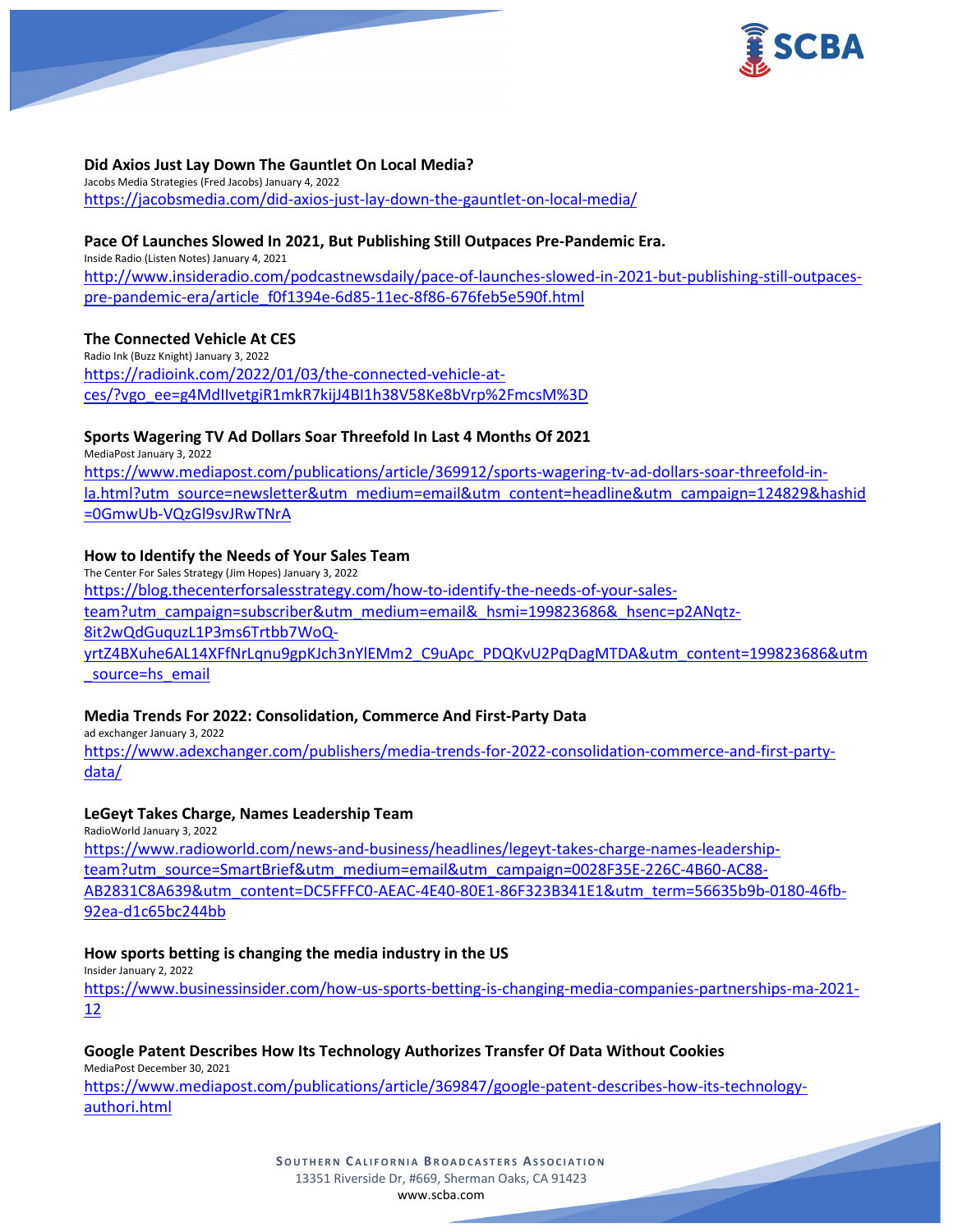

### **Did Axios Just Lay Down The Gauntlet On Local Media?**

Jacobs Media Strategies (Fred Jacobs) January 4, 2022 <https://jacobsmedia.com/did-axios-just-lay-down-the-gauntlet-on-local-media/>

### **Pace Of Launches Slowed In 2021, But Publishing Still Outpaces Pre-Pandemic Era.**

Inside Radio (Listen Notes) January 4, 2021 [http://www.insideradio.com/podcastnewsdaily/pace-of-launches-slowed-in-2021-but-publishing-still-outpaces](http://www.insideradio.com/podcastnewsdaily/pace-of-launches-slowed-in-2021-but-publishing-still-outpaces-pre-pandemic-era/article_f0f1394e-6d85-11ec-8f86-676feb5e590f.html)[pre-pandemic-era/article\\_f0f1394e-6d85-11ec-8f86-676feb5e590f.html](http://www.insideradio.com/podcastnewsdaily/pace-of-launches-slowed-in-2021-but-publishing-still-outpaces-pre-pandemic-era/article_f0f1394e-6d85-11ec-8f86-676feb5e590f.html)

#### **The Connected Vehicle At CES**

Radio Ink (Buzz Knight) January 3, 2022 [https://radioink.com/2022/01/03/the-connected-vehicle-at](https://radioink.com/2022/01/03/the-connected-vehicle-at-ces/?vgo_ee=g4MdIIvetgiR1mkR7kijJ4BI1h38V58Ke8bVrp%2FmcsM%3D)[ces/?vgo\\_ee=g4MdIIvetgiR1mkR7kijJ4BI1h38V58Ke8bVrp%2FmcsM%3D](https://radioink.com/2022/01/03/the-connected-vehicle-at-ces/?vgo_ee=g4MdIIvetgiR1mkR7kijJ4BI1h38V58Ke8bVrp%2FmcsM%3D)

#### **Sports Wagering TV Ad Dollars Soar Threefold In Last 4 Months Of 2021**

MediaPost January 3, 2022 [https://www.mediapost.com/publications/article/369912/sports-wagering-tv-ad-dollars-soar-threefold-in](https://www.mediapost.com/publications/article/369912/sports-wagering-tv-ad-dollars-soar-threefold-in-la.html?utm_source=newsletter&utm_medium=email&utm_content=headline&utm_campaign=124829&hashid=0GmwUb-VQzGl9svJRwTNrA)[la.html?utm\\_source=newsletter&utm\\_medium=email&utm\\_content=headline&utm\\_campaign=124829&hashid](https://www.mediapost.com/publications/article/369912/sports-wagering-tv-ad-dollars-soar-threefold-in-la.html?utm_source=newsletter&utm_medium=email&utm_content=headline&utm_campaign=124829&hashid=0GmwUb-VQzGl9svJRwTNrA) [=0GmwUb-VQzGl9svJRwTNrA](https://www.mediapost.com/publications/article/369912/sports-wagering-tv-ad-dollars-soar-threefold-in-la.html?utm_source=newsletter&utm_medium=email&utm_content=headline&utm_campaign=124829&hashid=0GmwUb-VQzGl9svJRwTNrA)

### **How to Identify the Needs of Your Sales Team**

The Center For Sales Strategy (Jim Hopes) January 3, 2022 [https://blog.thecenterforsalesstrategy.com/how-to-identify-the-needs-of-your-sales](https://blog.thecenterforsalesstrategy.com/how-to-identify-the-needs-of-your-sales-team?utm_campaign=subscriber&utm_medium=email&_hsmi=199823686&_hsenc=p2ANqtz-8it2wQdGuquzL1P3ms6Trtbb7WoQ-yrtZ4BXuhe6AL14XFfNrLqnu9gpKJch3nYlEMm2_C9uApc_PDQKvU2PqDagMTDA&utm_content=199823686&utm_source=hs_email)[team?utm\\_campaign=subscriber&utm\\_medium=email&\\_hsmi=199823686&\\_hsenc=p2ANqtz-](https://blog.thecenterforsalesstrategy.com/how-to-identify-the-needs-of-your-sales-team?utm_campaign=subscriber&utm_medium=email&_hsmi=199823686&_hsenc=p2ANqtz-8it2wQdGuquzL1P3ms6Trtbb7WoQ-yrtZ4BXuhe6AL14XFfNrLqnu9gpKJch3nYlEMm2_C9uApc_PDQKvU2PqDagMTDA&utm_content=199823686&utm_source=hs_email)[8it2wQdGuquzL1P3ms6Trtbb7WoQ](https://blog.thecenterforsalesstrategy.com/how-to-identify-the-needs-of-your-sales-team?utm_campaign=subscriber&utm_medium=email&_hsmi=199823686&_hsenc=p2ANqtz-8it2wQdGuquzL1P3ms6Trtbb7WoQ-yrtZ4BXuhe6AL14XFfNrLqnu9gpKJch3nYlEMm2_C9uApc_PDQKvU2PqDagMTDA&utm_content=199823686&utm_source=hs_email)yr[tZ4BXuhe6AL14XFfNrLqnu9gpKJch3nYlEMm2\\_C9uApc\\_PDQKvU2PqDagMTDA&utm\\_content=199823686&utm](https://blog.thecenterforsalesstrategy.com/how-to-identify-the-needs-of-your-sales-team?utm_campaign=subscriber&utm_medium=email&_hsmi=199823686&_hsenc=p2ANqtz-8it2wQdGuquzL1P3ms6Trtbb7WoQ-yrtZ4BXuhe6AL14XFfNrLqnu9gpKJch3nYlEMm2_C9uApc_PDQKvU2PqDagMTDA&utm_content=199823686&utm_source=hs_email) [\\_source=hs\\_email](https://blog.thecenterforsalesstrategy.com/how-to-identify-the-needs-of-your-sales-team?utm_campaign=subscriber&utm_medium=email&_hsmi=199823686&_hsenc=p2ANqtz-8it2wQdGuquzL1P3ms6Trtbb7WoQ-yrtZ4BXuhe6AL14XFfNrLqnu9gpKJch3nYlEMm2_C9uApc_PDQKvU2PqDagMTDA&utm_content=199823686&utm_source=hs_email)

#### **Media Trends For 2022: Consolidation, Commerce And First-Party Data**

ad exchanger January 3, 2022

[https://www.adexchanger.com/publishers/media-trends-for-2022-consolidation-commerce-and-first-party](https://www.adexchanger.com/publishers/media-trends-for-2022-consolidation-commerce-and-first-party-data/)[data/](https://www.adexchanger.com/publishers/media-trends-for-2022-consolidation-commerce-and-first-party-data/)

#### **LeGeyt Takes Charge, Names Leadership Team**

RadioWorld January 3, 2022

[https://www.radioworld.com/news-and-business/headlines/legeyt-takes-charge-names-leadership](https://www.radioworld.com/news-and-business/headlines/legeyt-takes-charge-names-leadership-team?utm_source=SmartBrief&utm_medium=email&utm_campaign=0028F35E-226C-4B60-AC88-AB2831C8A639&utm_content=DC5FFFC0-AEAC-4E40-80E1-86F323B341E1&utm_term=56635b9b-0180-46fb-92ea-d1c65bc244bb)[team?utm\\_source=SmartBrief&utm\\_medium=email&utm\\_campaign=0028F35E-226C-4B60-AC88-](https://www.radioworld.com/news-and-business/headlines/legeyt-takes-charge-names-leadership-team?utm_source=SmartBrief&utm_medium=email&utm_campaign=0028F35E-226C-4B60-AC88-AB2831C8A639&utm_content=DC5FFFC0-AEAC-4E40-80E1-86F323B341E1&utm_term=56635b9b-0180-46fb-92ea-d1c65bc244bb) [AB2831C8A639&utm\\_content=DC5FFFC0-AEAC-4E40-80E1-86F323B341E1&utm\\_term=56635b9b-0180-46fb-](https://www.radioworld.com/news-and-business/headlines/legeyt-takes-charge-names-leadership-team?utm_source=SmartBrief&utm_medium=email&utm_campaign=0028F35E-226C-4B60-AC88-AB2831C8A639&utm_content=DC5FFFC0-AEAC-4E40-80E1-86F323B341E1&utm_term=56635b9b-0180-46fb-92ea-d1c65bc244bb)[92ea-d1c65bc244bb](https://www.radioworld.com/news-and-business/headlines/legeyt-takes-charge-names-leadership-team?utm_source=SmartBrief&utm_medium=email&utm_campaign=0028F35E-226C-4B60-AC88-AB2831C8A639&utm_content=DC5FFFC0-AEAC-4E40-80E1-86F323B341E1&utm_term=56635b9b-0180-46fb-92ea-d1c65bc244bb)

#### **How sports betting is changing the media industry in the US**

Insider January 2, 2022 [https://www.businessinsider.com/how-us-sports-betting-is-changing-media-companies-partnerships-ma-2021-](https://www.businessinsider.com/how-us-sports-betting-is-changing-media-companies-partnerships-ma-2021-12) [12](https://www.businessinsider.com/how-us-sports-betting-is-changing-media-companies-partnerships-ma-2021-12)

#### **Google Patent Describes How Its Technology Authorizes Transfer Of Data Without Cookies**

MediaPost December 30, 2021

[https://www.mediapost.com/publications/article/369847/google-patent-describes-how-its-technology](https://www.mediapost.com/publications/article/369847/google-patent-describes-how-its-technology-authori.html)[authori.html](https://www.mediapost.com/publications/article/369847/google-patent-describes-how-its-technology-authori.html)

> **SOUTHERN C ALIFORNIA B ROADCASTERS ASSOCIATION** 13351 Riverside Dr, #669, Sherman Oaks, CA 91423 [www.scba.com](http://www.scba.com/)